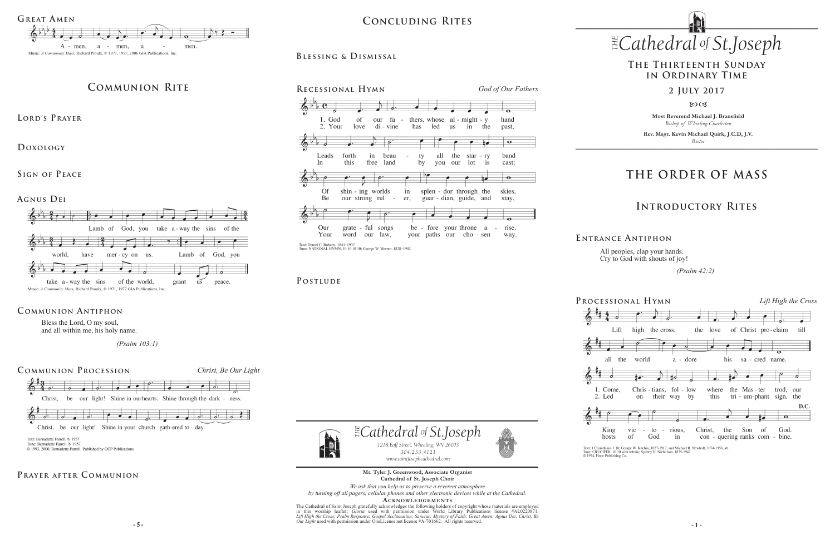**Most Reverend Michael J. Bransfield** *Bishop of Wheeling-Charleston*

**Rev. Msgr. Kevin Michael Quirk, J.C.D, J.V.** *Rector*

 $\mathbb{E}$ Cathedral of St.Joseph *1218 Eoff Street, Wheeling, WV 26003 304.233.4121 304.233.4121 www.saintjosephcathedral.com*



#### *Cathedral St THE of .Joseph Cathedral St THE of .Joseph* **Concluding Rites**

# **THE ORDER OF MASS**

### **Introductory Rites**

### **The Thirteenth Sunday in Ordinary Time**

#### **2 July 2017**

 $80C3$ 

### **Prayer after C ommunion**







*www.saintjosephcathedral.com* **Mr. Tyler J. Greenwood, Associate Organist Cathedral of St. Joseph Choir**

All peoples, clap your hands. Cry to God with shouts of joy!

 *(Psalm 42:2)* 

Text: 1 Corinthians 1:18; George W. Kitchin, 1827-1912, and Michael R. Newbolt, 1874-1956, alt.<br>Tune: CRUCIFER, 10 10 with refrain; Sydney H. Nicholson, 1875-1947<br>© 1974, Hope Publishing Co.

**E ntrance A ntiphon**



Tune: Bernadette Farrell, b. 1957 © 1993, 2000, Bernadette Farrell. Published by OCP Publications.

> **5 -** 5 - **1** - **1** - **1** - **1** - **1** - **1** - **1** - **1** - **1** - **1** - **1** - **1** - **1** - **1** - **1** - **1** - **1** - **1** - **1** - **1** - **1** - **1** - **1** - **1** - **1** - **1** - **1** - **1** - **1** - **1** - **1** - **1** - **1** - **1** - **1** - **1** The Cathedral of Saint Joseph gratefully acknowledges the following holders of copyright whose materials are employed<br>in this worship leaflet: *Gloria* used with permission under World Library Publications license #AL02208 *Lift High the Cross; Psalm Response; Gospel Acclamation; Sanctus; Mystery of Faith; Great Amen; Agnus Dei; Christ, Be*

Bless the Lord, O my soul, and all within me, his holy name.

 *(Psalm 103:1)*

### **Communion Antiphon**



*We ask that you help us to preserve a reverent atmosphere by turning off all pagers, cellular phones and other electronic devices while at the Cathedral.*

ACKNOWLEDGEMENTS

## **Communion Rite**

**Lord's Prayer**

**Doxology** 

SIGN OF PEACE

**Agnus Dei**

#### **P ostlude**





#### **Blessing & Dismissal**